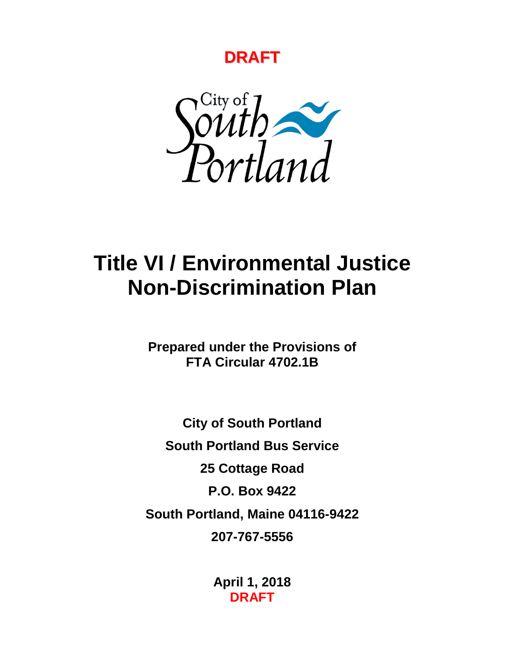



# **Title VI / Environmental Justice Non-Discrimination Plan**

**Prepared under the Provisions of FTA Circular 4702.1B**

**City of South Portland South Portland Bus Service 25 Cottage Road P.O. Box 9422 South Portland, Maine 04116-9422 207-767-5556**

> **April 1, 2018 DRAFT**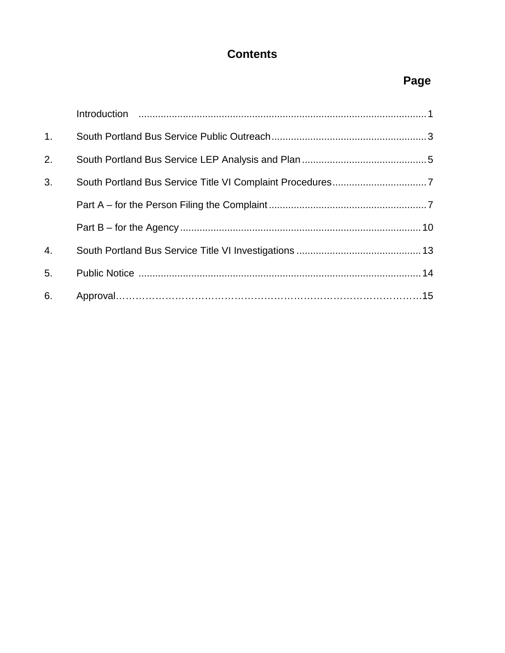## **Contents**

## **Page**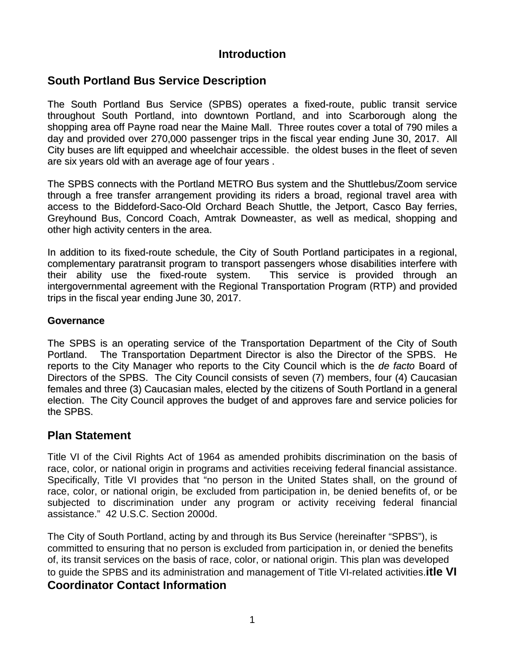## **Introduction**

## **South Portland Bus Service Description**

The South Portland Bus Service (SPBS) operates a fixed-route, public transit service throughout South Portland, into downtown Portland, and into Scarborough along the shopping area off Payne road near the Maine Mall. Three routes cover a total of 790 miles a day and provided over 270,000 passenger trips in the fiscal year ending June 30, 2017. All City buses are lift equipped and wheelchair accessible. the oldest buses in the fleet of seven are six years old with an average age of four years .

The SPBS connects with the Portland METRO Bus system and the Shuttlebus/Zoom service through a free transfer arrangement providing its riders a broad, regional travel area with access to the Biddeford-Saco-Old Orchard Beach Shuttle, the Jetport, Casco Bay ferries, Greyhound Bus, Concord Coach, Amtrak Downeaster, as well as medical, shopping and other high activity centers in the area.

In addition to its fixed-route schedule, the City of South Portland participates in a regional, complementary paratransit program to transport passengers whose disabilities interfere with their ability use the fixed-route system. This service is provided through an intergovernmental agreement with the Regional Transportation Program (RTP) and provided trips in the fiscal year ending June 30, 2017.

#### **Governance**

The SPBS is an operating service of the Transportation Department of the City of South Portland. The Transportation Department Director is also the Director of the SPBS. He reports to the City Manager who reports to the City Council which is the *de facto* Board of Directors of the SPBS. The City Council consists of seven (7) members, four (4) Caucasian females and three (3) Caucasian males, elected by the citizens of South Portland in a general election. The City Council approves the budget of and approves fare and service policies for the SPBS.

#### **Plan Statement**

Title VI of the Civil Rights Act of 1964 as amended prohibits discrimination on the basis of race, color, or national origin in programs and activities receiving federal financial assistance. Specifically, Title VI provides that "no person in the United States shall, on the ground of race, color, or national origin, be excluded from participation in, be denied benefits of, or be subjected to discrimination under any program or activity receiving federal financial assistance." 42 U.S.C. Section 2000d.

The City of South Portland, acting by and through its Bus Service (hereinafter "SPBS"), is committed to ensuring that no person is excluded from participation in, or denied the benefits of, its transit services on the basis of race, color, or national origin. This plan was developed to guide the SPBS and its administration and management of Title VI-related activities.**itle VI Coordinator Contact Information**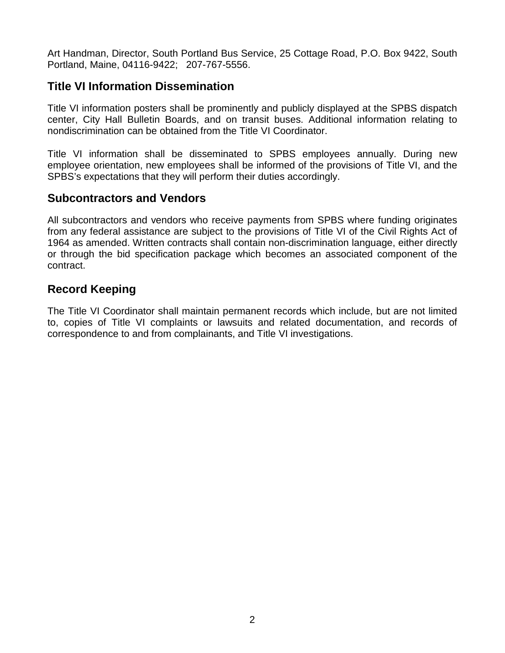Art Handman, Director, South Portland Bus Service, 25 Cottage Road, P.O. Box 9422, South Portland, Maine, 04116-9422; 207-767-5556.

## **Title VI Information Dissemination**

Title VI information posters shall be prominently and publicly displayed at the SPBS dispatch center, City Hall Bulletin Boards, and on transit buses. Additional information relating to nondiscrimination can be obtained from the Title VI Coordinator.

Title VI information shall be disseminated to SPBS employees annually. During new employee orientation, new employees shall be informed of the provisions of Title VI, and the SPBS's expectations that they will perform their duties accordingly.

#### **Subcontractors and Vendors**

All subcontractors and vendors who receive payments from SPBS where funding originates from any federal assistance are subject to the provisions of Title VI of the Civil Rights Act of 1964 as amended. Written contracts shall contain non-discrimination language, either directly or through the bid specification package which becomes an associated component of the contract.

## **Record Keeping**

The Title VI Coordinator shall maintain permanent records which include, but are not limited to, copies of Title VI complaints or lawsuits and related documentation, and records of correspondence to and from complainants, and Title VI investigations.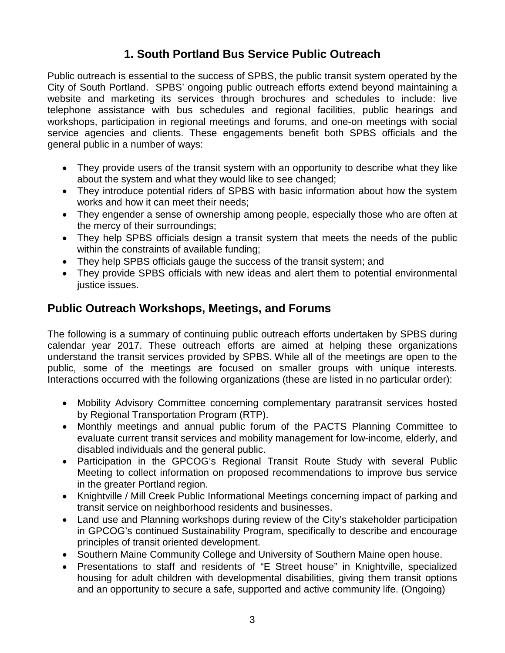## **1. South Portland Bus Service Public Outreach**

Public outreach is essential to the success of SPBS, the public transit system operated by the City of South Portland. SPBS' ongoing public outreach efforts extend beyond maintaining a website and marketing its services through brochures and schedules to include: live telephone assistance with bus schedules and regional facilities, public hearings and workshops, participation in regional meetings and forums, and one-on meetings with social service agencies and clients. These engagements benefit both SPBS officials and the general public in a number of ways:

- They provide users of the transit system with an opportunity to describe what they like about the system and what they would like to see changed;
- They introduce potential riders of SPBS with basic information about how the system works and how it can meet their needs;
- They engender a sense of ownership among people, especially those who are often at the mercy of their surroundings;
- They help SPBS officials design a transit system that meets the needs of the public within the constraints of available funding;
- They help SPBS officials gauge the success of the transit system; and
- They provide SPBS officials with new ideas and alert them to potential environmental justice issues.

## **Public Outreach Workshops, Meetings, and Forums**

The following is a summary of continuing public outreach efforts undertaken by SPBS during calendar year 2017. These outreach efforts are aimed at helping these organizations understand the transit services provided by SPBS. While all of the meetings are open to the public, some of the meetings are focused on smaller groups with unique interests. Interactions occurred with the following organizations (these are listed in no particular order):

- Mobility Advisory Committee concerning complementary paratransit services hosted by Regional Transportation Program (RTP).
- Monthly meetings and annual public forum of the PACTS Planning Committee to evaluate current transit services and mobility management for low-income, elderly, and disabled individuals and the general public.
- Participation in the GPCOG's Regional Transit Route Study with several Public Meeting to collect information on proposed recommendations to improve bus service in the greater Portland region.
- Knightville / Mill Creek Public Informational Meetings concerning impact of parking and transit service on neighborhood residents and businesses.
- Land use and Planning workshops during review of the City's stakeholder participation in GPCOG's continued Sustainability Program, specifically to describe and encourage principles of transit oriented development.
- Southern Maine Community College and University of Southern Maine open house.
- Presentations to staff and residents of "E Street house" in Knightville, specialized housing for adult children with developmental disabilities, giving them transit options and an opportunity to secure a safe, supported and active community life. (Ongoing)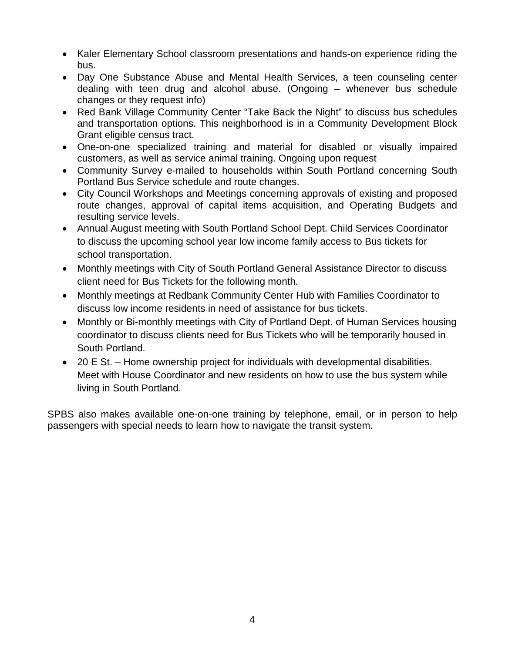- Kaler Elementary School classroom presentations and hands-on experience riding the bus.
- Day One Substance Abuse and Mental Health Services, a teen counseling center dealing with teen drug and alcohol abuse. (Ongoing – whenever bus schedule changes or they request info)
- Red Bank Village Community Center "Take Back the Night" to discuss bus schedules and transportation options. This neighborhood is in a Community Development Block Grant eligible census tract.
- One-on-one specialized training and material for disabled or visually impaired customers, as well as service animal training. Ongoing upon request
- Community Survey e-mailed to households within South Portland concerning South Portland Bus Service schedule and route changes.
- City Council Workshops and Meetings concerning approvals of existing and proposed route changes, approval of capital items acquisition, and Operating Budgets and resulting service levels.
- Annual August meeting with South Portland School Dept. Child Services Coordinator to discuss the upcoming school year low income family access to Bus tickets for school transportation.
- Monthly meetings with City of South Portland General Assistance Director to discuss client need for Bus Tickets for the following month.
- Monthly meetings at Redbank Community Center Hub with Families Coordinator to discuss low income residents in need of assistance for bus tickets.
- Monthly or Bi-monthly meetings with City of Portland Dept. of Human Services housing coordinator to discuss clients need for Bus Tickets who will be temporarily housed in South Portland.
- 20 E St. Home ownership project for individuals with developmental disabilities. Meet with House Coordinator and new residents on how to use the bus system while living in South Portland.

SPBS also makes available one-on-one training by telephone, email, or in person to help passengers with special needs to learn how to navigate the transit system.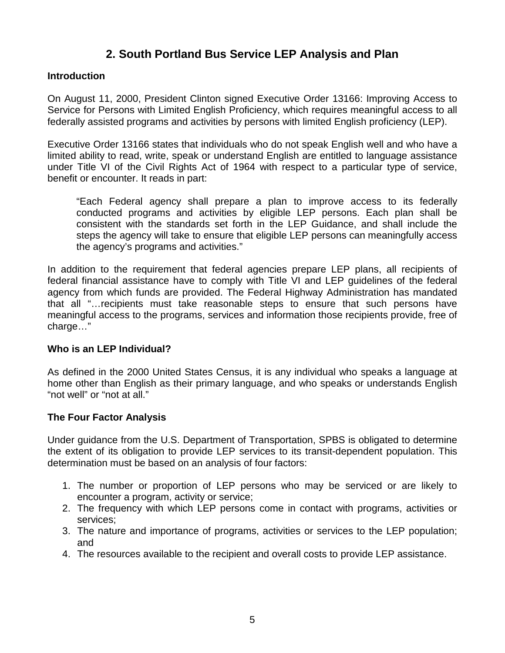## **2. South Portland Bus Service LEP Analysis and Plan**

#### **Introduction**

On August 11, 2000, President Clinton signed Executive Order 13166: Improving Access to Service for Persons with Limited English Proficiency, which requires meaningful access to all federally assisted programs and activities by persons with limited English proficiency (LEP).

Executive Order 13166 states that individuals who do not speak English well and who have a limited ability to read, write, speak or understand English are entitled to language assistance under Title VI of the Civil Rights Act of 1964 with respect to a particular type of service, benefit or encounter. It reads in part:

"Each Federal agency shall prepare a plan to improve access to its federally conducted programs and activities by eligible LEP persons. Each plan shall be consistent with the standards set forth in the LEP Guidance, and shall include the steps the agency will take to ensure that eligible LEP persons can meaningfully access the agency's programs and activities."

In addition to the requirement that federal agencies prepare LEP plans, all recipients of federal financial assistance have to comply with Title VI and LEP guidelines of the federal agency from which funds are provided. The Federal Highway Administration has mandated that all "…recipients must take reasonable steps to ensure that such persons have meaningful access to the programs, services and information those recipients provide, free of charge…"

#### **Who is an LEP Individual?**

As defined in the 2000 United States Census, it is any individual who speaks a language at home other than English as their primary language, and who speaks or understands English "not well" or "not at all."

#### **The Four Factor Analysis**

Under guidance from the U.S. Department of Transportation, SPBS is obligated to determine the extent of its obligation to provide LEP services to its transit-dependent population. This determination must be based on an analysis of four factors:

- 1. The number or proportion of LEP persons who may be serviced or are likely to encounter a program, activity or service;
- 2. The frequency with which LEP persons come in contact with programs, activities or services;
- 3. The nature and importance of programs, activities or services to the LEP population; and
- 4. The resources available to the recipient and overall costs to provide LEP assistance.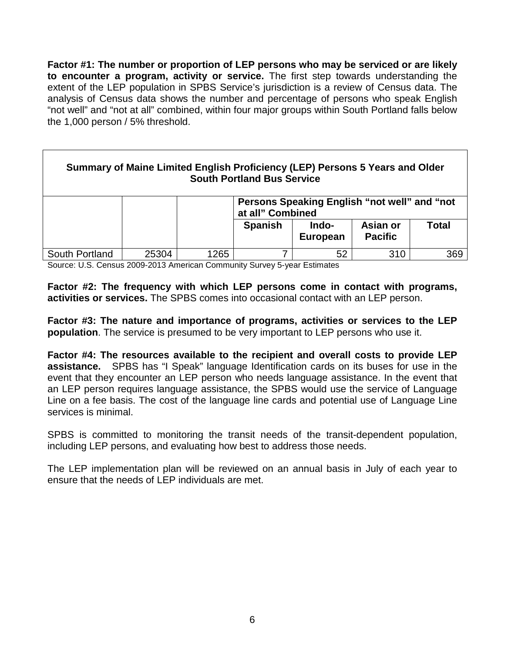**Factor #1: The number or proportion of LEP persons who may be serviced or are likely to encounter a program, activity or service.** The first step towards understanding the extent of the LEP population in SPBS Service's jurisdiction is a review of Census data. The analysis of Census data shows the number and percentage of persons who speak English "not well" and "not at all" combined, within four major groups within South Portland falls below the 1,000 person / 5% threshold.

| Summary of Maine Limited English Proficiency (LEP) Persons 5 Years and Older<br><b>South Portland Bus Service</b> |       |      |                                                                  |                          |                            |       |  |  |
|-------------------------------------------------------------------------------------------------------------------|-------|------|------------------------------------------------------------------|--------------------------|----------------------------|-------|--|--|
|                                                                                                                   |       |      | Persons Speaking English "not well" and "not<br>at all" Combined |                          |                            |       |  |  |
|                                                                                                                   |       |      | <b>Spanish</b>                                                   | Indo-<br><b>European</b> | Asian or<br><b>Pacific</b> | Total |  |  |
| South Portland                                                                                                    | 25304 | 1265 | 7                                                                | 52                       | 310                        | 369   |  |  |

Source: U.S. Census 2009-2013 American Community Survey 5-year Estimates

**Factor #2: The frequency with which LEP persons come in contact with programs, activities or services.** The SPBS comes into occasional contact with an LEP person.

**Factor #3: The nature and importance of programs, activities or services to the LEP population**. The service is presumed to be very important to LEP persons who use it.

**Factor #4: The resources available to the recipient and overall costs to provide LEP assistance.** SPBS has "I Speak" language Identification cards on its buses for use in the event that they encounter an LEP person who needs language assistance. In the event that an LEP person requires language assistance, the SPBS would use the service of Language Line on a fee basis. The cost of the language line cards and potential use of Language Line services is minimal.

SPBS is committed to monitoring the transit needs of the transit-dependent population, including LEP persons, and evaluating how best to address those needs.

The LEP implementation plan will be reviewed on an annual basis in July of each year to ensure that the needs of LEP individuals are met.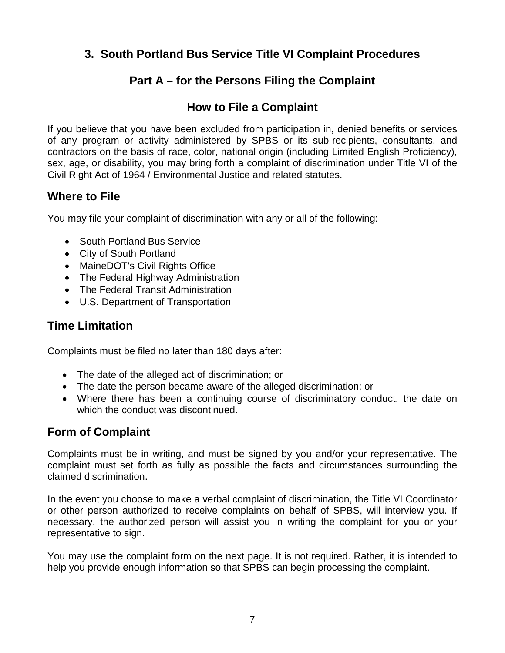## **3. South Portland Bus Service Title VI Complaint Procedures**

## **Part A – for the Persons Filing the Complaint**

## **How to File a Complaint**

If you believe that you have been excluded from participation in, denied benefits or services of any program or activity administered by SPBS or its sub-recipients, consultants, and contractors on the basis of race, color, national origin (including Limited English Proficiency), sex, age, or disability, you may bring forth a complaint of discrimination under Title VI of the Civil Right Act of 1964 / Environmental Justice and related statutes.

## **Where to File**

You may file your complaint of discrimination with any or all of the following:

- South Portland Bus Service
- City of South Portland
- MaineDOT's Civil Rights Office
- The Federal Highway Administration
- The Federal Transit Administration
- U.S. Department of Transportation

## **Time Limitation**

Complaints must be filed no later than 180 days after:

- The date of the alleged act of discrimination; or
- The date the person became aware of the alleged discrimination; or
- Where there has been a continuing course of discriminatory conduct, the date on which the conduct was discontinued.

## **Form of Complaint**

Complaints must be in writing, and must be signed by you and/or your representative. The complaint must set forth as fully as possible the facts and circumstances surrounding the claimed discrimination.

In the event you choose to make a verbal complaint of discrimination, the Title VI Coordinator or other person authorized to receive complaints on behalf of SPBS, will interview you. If necessary, the authorized person will assist you in writing the complaint for you or your representative to sign.

You may use the complaint form on the next page. It is not required. Rather, it is intended to help you provide enough information so that SPBS can begin processing the complaint.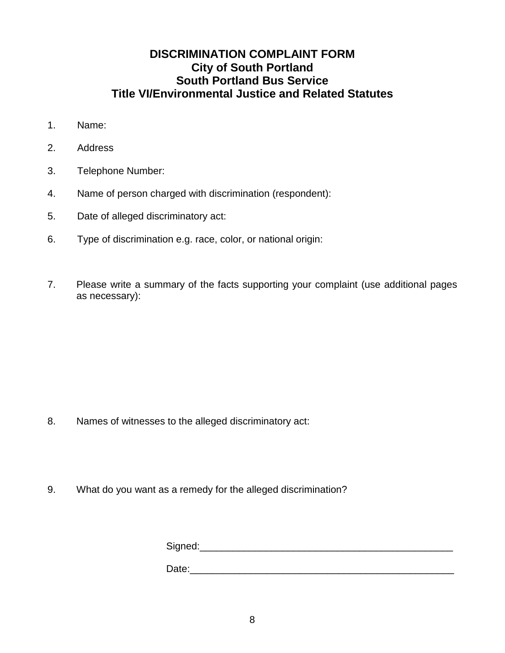## **DISCRIMINATION COMPLAINT FORM City of South Portland South Portland Bus Service Title VI/Environmental Justice and Related Statutes**

- 1. Name:
- 2. Address
- 3. Telephone Number:
- 4. Name of person charged with discrimination (respondent):
- 5. Date of alleged discriminatory act:
- 6. Type of discrimination e.g. race, color, or national origin:
- 7. Please write a summary of the facts supporting your complaint (use additional pages as necessary):

- 8. Names of witnesses to the alleged discriminatory act:
- 9. What do you want as a remedy for the alleged discrimination?

Signed:\_\_\_\_\_\_\_\_\_\_\_\_\_\_\_\_\_\_\_\_\_\_\_\_\_\_\_\_\_\_\_\_\_\_\_\_\_\_\_\_\_\_\_\_\_\_

Date: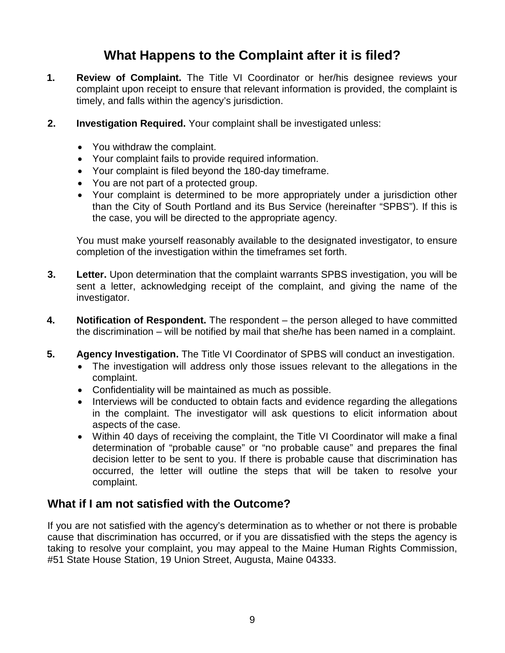## **What Happens to the Complaint after it is filed?**

- **1. Review of Complaint.** The Title VI Coordinator or her/his designee reviews your complaint upon receipt to ensure that relevant information is provided, the complaint is timely, and falls within the agency's jurisdiction.
- **2. Investigation Required.** Your complaint shall be investigated unless:
	- You withdraw the complaint.
	- Your complaint fails to provide required information.
	- Your complaint is filed beyond the 180-day timeframe.
	- You are not part of a protected group.
	- Your complaint is determined to be more appropriately under a jurisdiction other than the City of South Portland and its Bus Service (hereinafter "SPBS"). If this is the case, you will be directed to the appropriate agency.

You must make yourself reasonably available to the designated investigator, to ensure completion of the investigation within the timeframes set forth.

- **3. Letter.** Upon determination that the complaint warrants SPBS investigation, you will be sent a letter, acknowledging receipt of the complaint, and giving the name of the investigator.
- **4. Notification of Respondent.** The respondent the person alleged to have committed the discrimination – will be notified by mail that she/he has been named in a complaint.
- **5. Agency Investigation.** The Title VI Coordinator of SPBS will conduct an investigation.
	- The investigation will address only those issues relevant to the allegations in the complaint.
	- Confidentiality will be maintained as much as possible.
	- Interviews will be conducted to obtain facts and evidence regarding the allegations in the complaint. The investigator will ask questions to elicit information about aspects of the case.
	- Within 40 days of receiving the complaint, the Title VI Coordinator will make a final determination of "probable cause" or "no probable cause" and prepares the final decision letter to be sent to you. If there is probable cause that discrimination has occurred, the letter will outline the steps that will be taken to resolve your complaint.

#### **What if I am not satisfied with the Outcome?**

If you are not satisfied with the agency's determination as to whether or not there is probable cause that discrimination has occurred, or if you are dissatisfied with the steps the agency is taking to resolve your complaint, you may appeal to the Maine Human Rights Commission, #51 State House Station, 19 Union Street, Augusta, Maine 04333.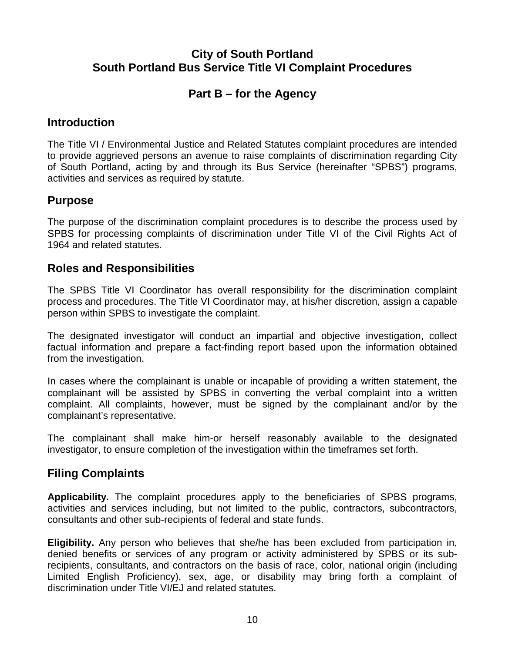## **City of South Portland South Portland Bus Service Title VI Complaint Procedures**

## **Part B – for the Agency**

## **Introduction**

The Title VI / Environmental Justice and Related Statutes complaint procedures are intended to provide aggrieved persons an avenue to raise complaints of discrimination regarding City of South Portland, acting by and through its Bus Service (hereinafter "SPBS") programs, activities and services as required by statute.

## **Purpose**

The purpose of the discrimination complaint procedures is to describe the process used by SPBS for processing complaints of discrimination under Title VI of the Civil Rights Act of 1964 and related statutes.

## **Roles and Responsibilities**

The SPBS Title VI Coordinator has overall responsibility for the discrimination complaint process and procedures. The Title VI Coordinator may, at his/her discretion, assign a capable person within SPBS to investigate the complaint.

The designated investigator will conduct an impartial and objective investigation, collect factual information and prepare a fact-finding report based upon the information obtained from the investigation.

In cases where the complainant is unable or incapable of providing a written statement, the complainant will be assisted by SPBS in converting the verbal complaint into a written complaint. All complaints, however, must be signed by the complainant and/or by the complainant's representative.

The complainant shall make him-or herself reasonably available to the designated investigator, to ensure completion of the investigation within the timeframes set forth.

## **Filing Complaints**

**Applicability.** The complaint procedures apply to the beneficiaries of SPBS programs, activities and services including, but not limited to the public, contractors, subcontractors, consultants and other sub-recipients of federal and state funds.

**Eligibility.** Any person who believes that she/he has been excluded from participation in, denied benefits or services of any program or activity administered by SPBS or its subrecipients, consultants, and contractors on the basis of race, color, national origin (including Limited English Proficiency), sex, age, or disability may bring forth a complaint of discrimination under Title VI/EJ and related statutes.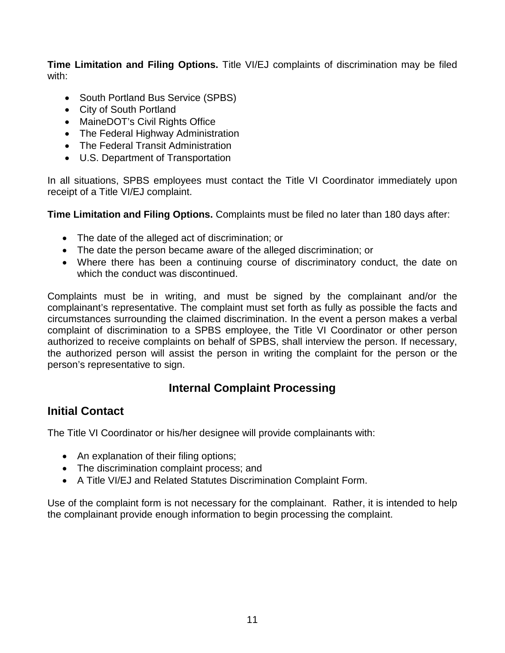**Time Limitation and Filing Options.** Title VI/EJ complaints of discrimination may be filed with:

- South Portland Bus Service (SPBS)
- City of South Portland
- MaineDOT's Civil Rights Office
- The Federal Highway Administration
- The Federal Transit Administration
- U.S. Department of Transportation

In all situations, SPBS employees must contact the Title VI Coordinator immediately upon receipt of a Title VI/EJ complaint.

**Time Limitation and Filing Options.** Complaints must be filed no later than 180 days after:

- The date of the alleged act of discrimination; or
- The date the person became aware of the alleged discrimination; or
- Where there has been a continuing course of discriminatory conduct, the date on which the conduct was discontinued.

Complaints must be in writing, and must be signed by the complainant and/or the complainant's representative. The complaint must set forth as fully as possible the facts and circumstances surrounding the claimed discrimination. In the event a person makes a verbal complaint of discrimination to a SPBS employee, the Title VI Coordinator or other person authorized to receive complaints on behalf of SPBS, shall interview the person. If necessary, the authorized person will assist the person in writing the complaint for the person or the person's representative to sign.

## **Internal Complaint Processing**

## **Initial Contact**

The Title VI Coordinator or his/her designee will provide complainants with:

- An explanation of their filing options;
- The discrimination complaint process; and
- A Title VI/EJ and Related Statutes Discrimination Complaint Form.

Use of the complaint form is not necessary for the complainant. Rather, it is intended to help the complainant provide enough information to begin processing the complaint.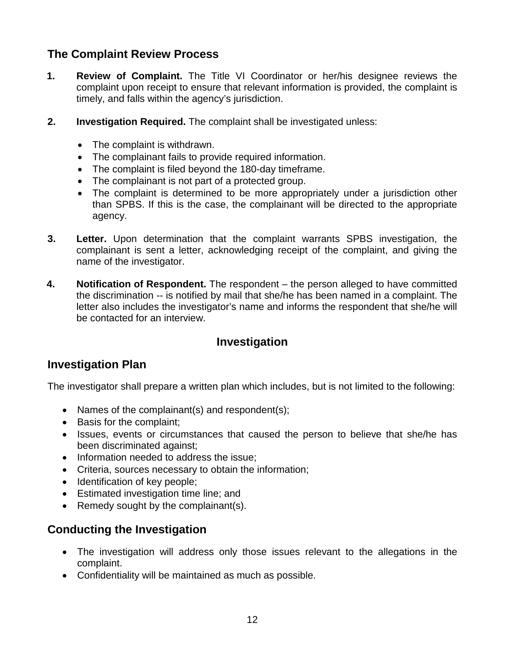## **The Complaint Review Process**

- **1. Review of Complaint.** The Title VI Coordinator or her/his designee reviews the complaint upon receipt to ensure that relevant information is provided, the complaint is timely, and falls within the agency's jurisdiction.
- **2. Investigation Required.** The complaint shall be investigated unless:
	- The complaint is withdrawn.
	- The complainant fails to provide required information.
	- The complaint is filed beyond the 180-day timeframe.
	- The complainant is not part of a protected group.
	- The complaint is determined to be more appropriately under a jurisdiction other than SPBS. If this is the case, the complainant will be directed to the appropriate agency.
- **3. Letter.** Upon determination that the complaint warrants SPBS investigation, the complainant is sent a letter, acknowledging receipt of the complaint, and giving the name of the investigator.
- **4. Notification of Respondent.** The respondent the person alleged to have committed the discrimination -- is notified by mail that she/he has been named in a complaint. The letter also includes the investigator's name and informs the respondent that she/he will be contacted for an interview.

## **Investigation**

## **Investigation Plan**

The investigator shall prepare a written plan which includes, but is not limited to the following:

- Names of the complainant(s) and respondent(s);
- Basis for the complaint;
- Issues, events or circumstances that caused the person to believe that she/he has been discriminated against;
- Information needed to address the issue;
- Criteria, sources necessary to obtain the information;
- Identification of key people;
- Estimated investigation time line; and
- Remedy sought by the complainant(s).

## **Conducting the Investigation**

- The investigation will address only those issues relevant to the allegations in the complaint.
- Confidentiality will be maintained as much as possible.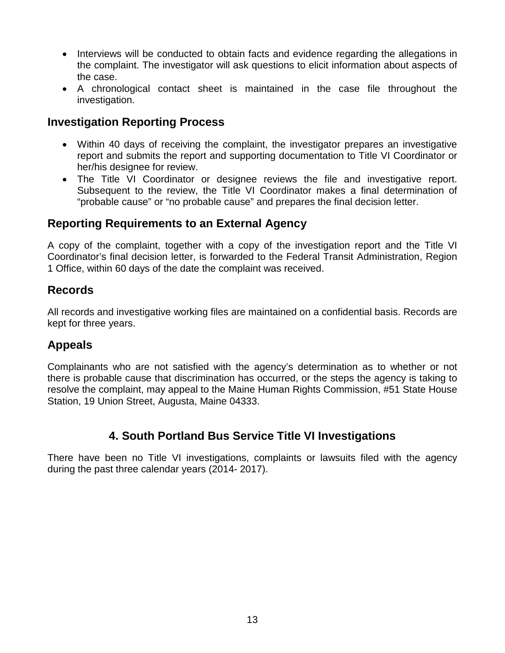- Interviews will be conducted to obtain facts and evidence regarding the allegations in the complaint. The investigator will ask questions to elicit information about aspects of the case.
- A chronological contact sheet is maintained in the case file throughout the investigation.

## **Investigation Reporting Process**

- Within 40 days of receiving the complaint, the investigator prepares an investigative report and submits the report and supporting documentation to Title VI Coordinator or her/his designee for review.
- The Title VI Coordinator or designee reviews the file and investigative report. Subsequent to the review, the Title VI Coordinator makes a final determination of "probable cause" or "no probable cause" and prepares the final decision letter.

## **Reporting Requirements to an External Agency**

A copy of the complaint, together with a copy of the investigation report and the Title VI Coordinator's final decision letter, is forwarded to the Federal Transit Administration, Region 1 Office, within 60 days of the date the complaint was received.

#### **Records**

All records and investigative working files are maintained on a confidential basis. Records are kept for three years.

## **Appeals**

Complainants who are not satisfied with the agency's determination as to whether or not there is probable cause that discrimination has occurred, or the steps the agency is taking to resolve the complaint, may appeal to the Maine Human Rights Commission, #51 State House Station, 19 Union Street, Augusta, Maine 04333.

## **4. South Portland Bus Service Title VI Investigations**

There have been no Title VI investigations, complaints or lawsuits filed with the agency during the past three calendar years (2014- 2017).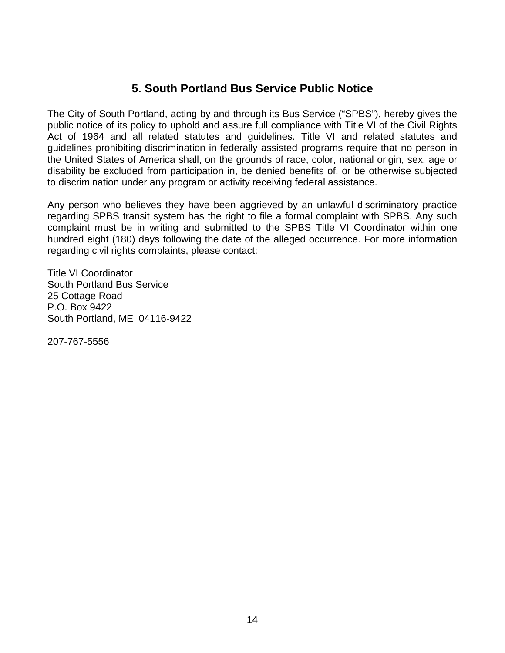## **5. South Portland Bus Service Public Notice**

The City of South Portland, acting by and through its Bus Service ("SPBS"), hereby gives the public notice of its policy to uphold and assure full compliance with Title VI of the Civil Rights Act of 1964 and all related statutes and guidelines. Title VI and related statutes and guidelines prohibiting discrimination in federally assisted programs require that no person in the United States of America shall, on the grounds of race, color, national origin, sex, age or disability be excluded from participation in, be denied benefits of, or be otherwise subjected to discrimination under any program or activity receiving federal assistance.

Any person who believes they have been aggrieved by an unlawful discriminatory practice regarding SPBS transit system has the right to file a formal complaint with SPBS. Any such complaint must be in writing and submitted to the SPBS Title VI Coordinator within one hundred eight (180) days following the date of the alleged occurrence. For more information regarding civil rights complaints, please contact:

Title VI Coordinator South Portland Bus Service 25 Cottage Road P.O. Box 9422 South Portland, ME 04116-9422

207-767-5556